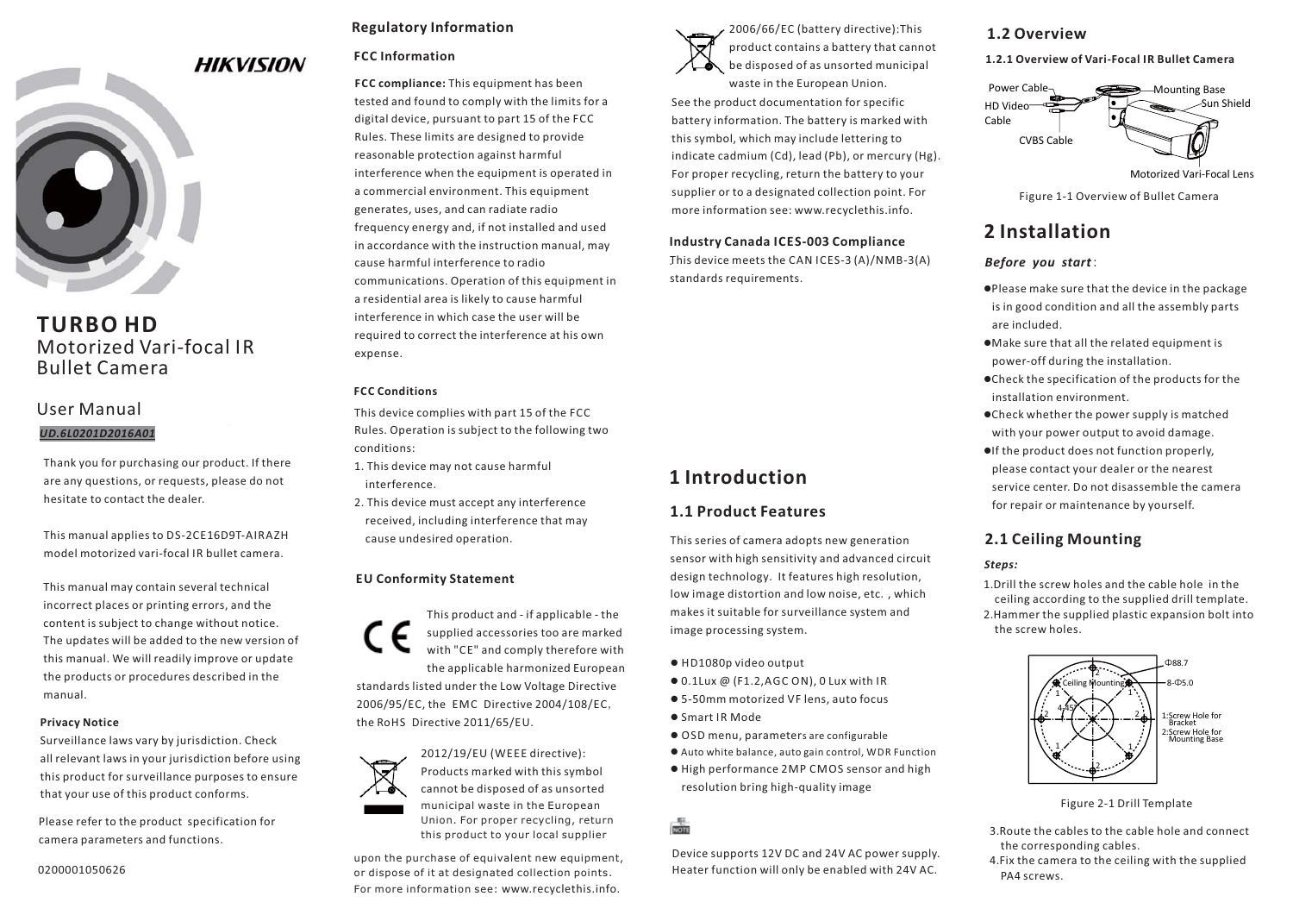

## **TURBO HD** Motorized Vari-focal IRBullet Camera

## User Manual*UD.6L0201D2016A01*

Thank you for purchasing our product. If there are any questions, or requests, please do not hesitate to contact the dealer.

This manual applies to DS-2CE16D9T-AIRAZH model motorized vari-focal IR bullet camera.

This manual may contain several technical incorrect places or printing errors, and the content is subject to change without notice. The updates will be added to the new version of this manual. We will readily improve or update the products or procedures described in the manual.

#### **Privacy Notice**

Surveillance laws vary by jurisdiction. Check all relevant laws in your jurisdiction before using this product for surveillance purposes to ensure that your use of this product conforms.

Please refer to the product specification for camera parameters and functions.

#### 0200001050626

### **Regulatory Information**

#### **FCC Information**

**FCC compliance:** This equipment has been tested and found to comply with the limits for a digital device, pursuant to part 15 of the FCC Rules. These limits are designed to provide reasonable protection against harmful interference when the equipment is operated in a commercial environment. This equipment generates, uses, and can radiate radio frequency energy and, if not installed and used in accordance with the instruction manual, may cause harmful interference to radiocommunications. Operation of this equipment in a residential area is likely to cause harmful interference in which case the user will berequired to correct the interference at his own expense.

#### **FCC Conditions**

This device complies with part 15 of the FCC Rules. Operation is subject to the following two conditions:

- 1. This device may not cause harmful interference.
- 2. This device must accept any interference received, including interference that may cause undesired operation.

#### **EU Conformity Statement**





Products marked with this symbol cannot be disposed of as unsorted municipal waste in the European Union. For proper recycling, return this product to your local supplier

upon the purchase of equivalent new equipment, or dispose of it at designated collection points. For more information see: www.recyclethis.info.



2006/66/EC (battery directive):This product contains a battery that cannot be disposed of as unsorted municipal

waste in the European Union. See the product documentation for specific battery information. The battery is marked with this symbol, which may include lettering to indicate cadmium (Cd), lead (Pb), or mercury (Hg). For proper recycling, return the battery to your supplier or to a designated collection point. For more information see: www.recyclethis.info.

### **Industry Canada ICES-003 Compliance**

.This device meets the CAN ICES-3 (A)/NMB-3(A) standards requirements.

# **1 Introduction**

### **1.1 Product Features**

This series of camera adopts new generation sensor with high sensitivity and advanced circuit design technology. It features high resolution, low image distortion and low noise, etc., which makes it suitable for surveillance system and image processing system.

- $\bullet$  <code>HD1080p</code> video output
- $\bullet$  0.1Lux @ (F1.2, AGC ON), 0 Lux with IR
- 5-50mm motorized VF lens, auto focus
- Smart IR Mode
- $\bullet$  OSD menu, parameters are configurable
- $\bullet$  Auto white balance, auto gain control, WDR Function
- -High performance 2MP CMOS sensor and high resolution bring high-quality image

## **NOTE**

Device supports 12V DC and 24V AC power supply. Heater function will only be enabled with 24V AC.

## **1.2 Overview**

**1.2.1 Overview of Vari-Focal IR Bullet Camera**



Figure 1-1 Overview of Bullet Camera

# **2 Installation**

#### *Before you start*:

-Please make sure that the device in the package is in good condition and all the assembly parts are included.

- -Make sure that all the related equipment is power-off during the installation.
- -Check the specification of the products for the installation environment.
- -Check whether the power supply is matched with your power output to avoid damage. -If the product does not function properly,
- please contact your dealer or the nearest service center. Do not disassemble the camerafor repair or maintenance by yourself.

## **2.1 Ceiling Mounting**

#### *Steps:*

1.Drill the screw holes and the cable hole in theceiling according to the supplied drill template. 2.Hammer the supplied plastic expansion bolt into the screw holes.



Figure 2-1 Drill Template

- 3.Route the cables to the cable hole and connect the corresponding cables.
- 4.Fix the camera to the ceiling with the supplied PA4 screws.